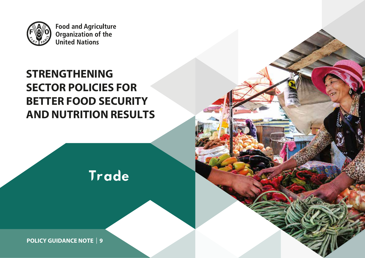

**Food and Agriculture Organization of the<br>United Nations** 

# **STRENGTHENING SECTOR POLICIES FOR BETTER FOOD SECURITY AND NUTRITION RESULTS**

Trade

**POLICY GUIDANCE NOTE** | **1** | **9**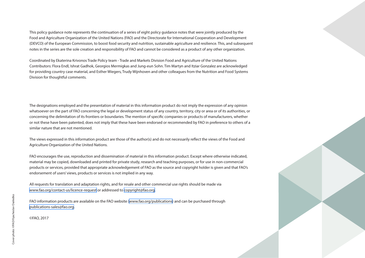This policy guidance note represents the continuation of a series of eight policy guidance notes that were jointly produced by the Food and Agriculture Organization of the United Nations (FAO) and the Directorate for International Cooperation and Development (DEVCO) of the European Commission, to boost food security and nutrition, sustainable agriculture and resilience. This, and subsequent notes in the series are the sole creation and responsibility of FAO and cannot be considered as a product of any other organization.

Coordinated by Ekaterina Krivonos Trade Policy team - Trade and Markets Division Food and Agriculture of the United Nations Contributors: Flora Endl, Ishrat Gadhok, Georgios Mermigkas and Jung-eun Sohn. Tim Martyn and Itziar Gonzalez are acknowledged for providing country case material, and Esther Wiegers, Trudy Wijnhoven and other colleagues from the Nutrition and Food Systems Division for thoughtful comments.

The designations employed and the presentation of material in this information product do not imply the expression of any opinion whatsoever on the part of FAO concerning the legal or development status of any country, territory, city or area or of its authorities, or concerning the delimitation of its frontiers or boundaries. The mention of specific companies or products of manufacturers, whether or not these have been patented, does not imply that these have been endorsed or recommended by FAO in preference to others of a similar nature that are not mentioned.

The views expressed in this information product are those of the author(s) and do not necessarily reflect the views of the Food and Agriculture Organization of the United Nations.

FAO encourages the use, reproduction and dissemination of material in this information product. Except where otherwise indicated, material may be copied, downloaded and printed for private study, research and teaching purposes, or for use in non-commercial products or services, provided that appropriate acknowledgement of FAO as the source and copyright holder is given and that FAO's endorsement of users' views, products or services is not implied in any way.

All requests for translation and adaptation rights, and for resale and other commercial use rights should be made via <www.fao.org/contact-us/licence-request>or addressed to [copyright@fao.org.](mailto:copyright%40fao.org?subject=)

FAO information products are available on the FAO website (<www.fao.org/publications>) and can be purchased through [publications-sales@fao.org](mailto:publications-sales%40fao.org.?subject=).

©FAO, 2017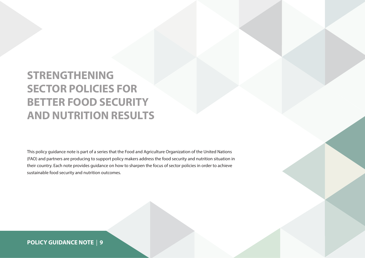# **STRENGTHENING SECTOR POLICIES FOR BETTER FOOD SECURITY AND NUTRITION RESULTS**

This policy guidance note is part of a series that the Food and Agriculture Organization of the United Nations (FAO) and partners are producing to support policy makers address the food security and nutrition situation in their country. Each note provides guidance on how to sharpen the focus of sector policies in order to achieve sustainable food security and nutrition outcomes.

# **POLICY GUIDANCE NOTE** | **9**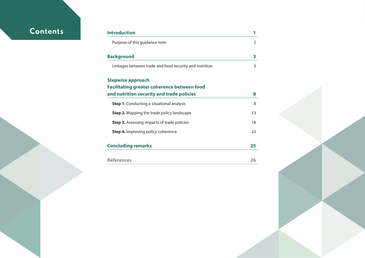# **Contents**

| Introduction                                           |    |
|--------------------------------------------------------|----|
| Purpose of this guidance note                          | 2  |
| <b>Background</b>                                      | 3  |
| Linkages between trade and food security and nutrition | 3  |
| <b>Stepwise approach</b>                               |    |
| <b>Facilitating greater coherence between food</b>     |    |
| and nutrition security and trade policies              | 8  |
| <b>Step 1.</b> Conducting a situational analysis       | 8  |
| <b>Step 2.</b> Mapping the trade policy landscape      | 13 |
| <b>Step 3.</b> Assessing impacts of trade policies     | 18 |
| <b>Step 4.</b> Improving policy coherence              | 23 |
| <b>Concluding remarks</b>                              | 25 |
|                                                        |    |
| <b>References</b>                                      | 26 |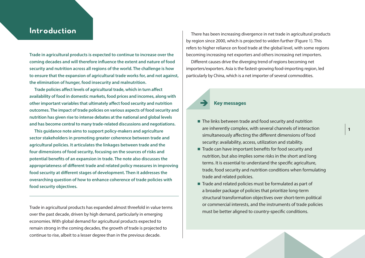# <span id="page-4-0"></span>Introduction

**Trade in agricultural products is expected to continue to increase over the coming decades and will therefore influence the extent and nature of food security and nutrition across all regions of the world. The challenge is how to ensure that the expansion of agricultural trade works for, and not against, the elimination of hunger, food insecurity and malnutrition.** 

**Trade policies affect levels of agricultural trade, which in turn affect availability of food in domestic markets, food prices and incomes, along with other important variables that ultimately affect food security and nutrition outcomes. The impact of trade policies on various aspects of food security and nutrition has given rise to intense debates at the national and global levels and has become central to many trade-related discussions and negotiations.** 

**This guidance note aims to support policy-makers and agriculture sector stakeholders in promoting greater coherence between trade and agricultural policies. It articulates the linkages between trade and the four dimensions of food security, focusing on the sources of risks and potential benefits of an expansion in trade. The note also discusses the appropriateness of different trade and related policy measures in improving food security at different stages of development. Then it addresses the overarching question of how to enhance coherence of trade policies with food security objectives.**

Trade in agricultural products has expanded almost threefold in value terms over the past decade, driven by high demand, particularly in emerging economies. With global demand for agricultural products expected to remain strong in the coming decades, the growth of trade is projected to continue to rise, albeit to a lesser degree than in the previous decade.

There has been increasing divergence in net trade in agricultural products by region since 2000, which is projected to widen further (Figure 1). This refers to higher reliance on food trade at the global level, with some regions becoming increasing net exporters and others increasing net importers.

Different causes drive the diverging trend of regions becoming net importers/exporters. Asia is the fastest-growing food-importing region, led particularly by China, which is a net importer of several commodities.

## **Key messages**

 $\blacksquare$  The links between trade and food security and nutrition are inherently complex, with several channels of interaction simultaneously affecting the different dimensions of food security: availability, access, utilization and stability.

**1**

- $\blacksquare$  Trade can have important benefits for food security and nutrition, but also implies some risks in the short and long terms. It is essential to understand the specific agriculture, trade, food security and nutrition conditions when formulating trade and related policies.
- $\blacksquare$  Trade and related policies must be formulated as part of a broader package of policies that prioritize long-term structural transformation objectives over short-term political or commercial interests, and the instruments of trade policies must be better aligned to country-specific conditions.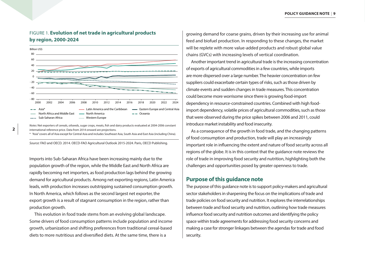### <span id="page-5-0"></span>FIGURE 1. **Evolution of net trade in agricultural products by region, 2000-2024**



*Notes:* Net exporters of cereals, oilseeds, sugar crops, meats, fish and dairy products evaluated at 2004-2006 constant international reference price. Data from 2014 onward are projections.

\* "Asia" covers all of Asia except for Central Asia and includes Southeast Asia, South Asia and East Asia (including China).

*Source:* FAO and OECD. 2014. OECD-FAO Agricultural Outlook 2015-2024. Paris, OECD Publishing.

Imports into Sub-Saharan Africa have been increasing mainly due to the population growth of the region, while the Middle East and North Africa are rapidly becoming net importers, as food production lags behind the growing demand for agricultural products. Among net exporting regions, Latin America leads, with production increases outstripping sustained consumption growth. In North America, which follows as the second largest net exporter, the export growth is a result of stagnant consumption in the region, rather than production growth.

This evolution in food trade stems from an evolving global landscape. Some drivers of food consumption patterns include population and income growth, urbanization and shifting preferences from traditional cereal-based diets to more nutritious and diversified diets. At the same time, there is a

growing demand for coarse grains, driven by their increasing use for animal feed and biofuel production. In responding to these changes, the market will be replete with more value-added products and robust global value chains (GVCs) with increasing levels of vertical coordination.

Another important trend in agricultural trade is the increasing concentration of exports of agricultural commodities in a few countries, while imports are more dispersed over a large number. The heavier concentration on few suppliers could exacerbate certain types of risks, such as those driven by climate events and sudden changes in trade measures. This concentration could become more worrisome since there is growing food-import dependency in resource-constrained countries. Combined with high foodimport dependency, volatile prices of agricultural commodities, such as those that were observed during the price spikes between 2006 and 2011, could introduce market instability and food insecurity.

As a consequence of the growth in food trade, and the changing patterns of food consumption and production, trade will play an increasingly important role in influencing the extent and nature of food security across all regions of the globe. It is in this context that the guidance note reviews the role of trade in improving food security and nutrition, highlighting both the challenges and opportunities posed by greater openness to trade.

#### **Purpose of this guidance note**

The purpose of this guidance note is to support policy-makers and agricultural sector stakeholders in sharpening the focus on the implications of trade and trade policies on food security and nutrition. It explores the interrelationships between trade and food security and nutrition, outlining how trade measures influence food security and nutrition outcomes and identifying the policy space within trade agreements for addressing food security concerns and making a case for stronger linkages between the agendas for trade and food security.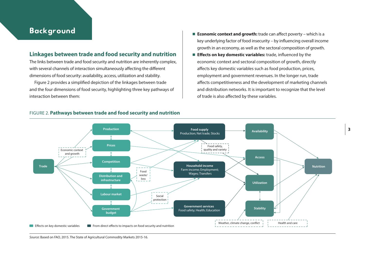# <span id="page-6-0"></span>Background

## **Linkages between trade and food security and nutrition**

The links between trade and food security and nutrition are inherently complex, with several channels of interaction simultaneously affecting the different dimensions of food security: availability, access, utilization and stability.

Figure 2 provides a simplified depiction of the linkages between trade and the four dimensions of food security, highlighting three key pathways of interaction between them:

- **Economic context and growth:** trade can affect poverty which is a key underlying factor of food insecurity – by influencing overall income growth in an economy, as well as the sectoral composition of growth.
- **Effects on key domestic variables:** trade, influenced by the economic context and sectoral composition of growth, directly affects key domestic variables such as food production, prices, employment and government revenues. In the longer run, trade affects competitiveness and the development of marketing channels and distribution networks. It is important to recognize that the level of trade is also affected by these variables.



#### FIGURE 2. **Pathways between trade and food security and nutrition**

*Source*: Based on FAO, 2015. The State of Agricultural Commodity Markets 2015-16.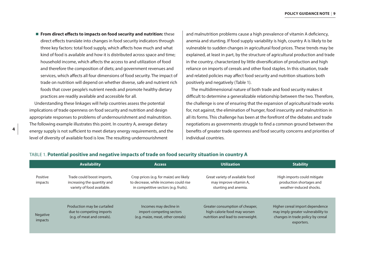**From direct effects to impacts on food security and nutrition:** these direct effects translate into changes in food security indicators through three key factors: total food supply, which affects how much and what kind of food is available and how it is distributed across space and time; household income, which affects the access to and utilization of food and therefore the composition of diets; and government revenues and services, which affects all four dimensions of food security. The impact of trade on nutrition will depend on whether diverse, safe and nutrient rich foods that cover people's nutrient needs and promote healthy dietary practices are readily available and accessible for all.

Understanding these linkages will help countries assess the potential implications of trade openness on food security and nutrition and design appropriate responses to problems of undernourishment and malnutrition. The following example illustrates this point. In country A, average dietary energy supply is not sufficient to meet dietary energy requirements, and the level of diversity of available food is low. The resulting undernourishment

and malnutrition problems cause a high prevalence of vitamin A deficiency, anemia and stunting. If food supply variability is high, country A is likely to be vulnerable to sudden changes in agricultural food prices. These trends may be explained, at least in part, by the structure of agricultural production and trade in the country, characterized by little diversification of production and high reliance on imports of cereals and other food staples. In this situation, trade and related policies may affect food security and nutrition situations both positively and negatively (Table 1).

The multidimensional nature of both trade and food security makes it difficult to determine a generalizable relationship between the two. Therefore, the challenge is one of ensuring that the expansion of agricultural trade works for, not against, the elimination of hunger, food insecurity and malnutrition in all its forms. This challenge has been at the forefront of the debates and trade negotiations as governments struggle to find a common ground between the benefits of greater trade openness and food security concerns and priorities of individual countries.

|                            | <b>Availability</b>                                                                     | <b>Access</b>                                                                                                             | <b>Utilization</b>                                                                                   | <b>Stability</b>                                                                                                         |
|----------------------------|-----------------------------------------------------------------------------------------|---------------------------------------------------------------------------------------------------------------------------|------------------------------------------------------------------------------------------------------|--------------------------------------------------------------------------------------------------------------------------|
| Positive<br>impacts        | Trade could boost imports,<br>increasing the quantity and<br>variety of food available. | Crop prices (e.g. for maize) are likely<br>to decrease, while incomes could rise<br>in competitive sectors (e.g. fruits). | Great variety of available food<br>may improve vitamin A,<br>stunting and anemia.                    | High imports could mitigate<br>production shortages and<br>weather-induced shocks.                                       |
| <b>Negative</b><br>impacts | Production may be curtailed<br>due to competing imports<br>(e.g. of meat and cereals).  | Incomes may decline in<br>import-competing sectors<br>(e.g. maize, meat, other cereals)                                   | Greater consumption of cheaper,<br>high-calorie food may worsen<br>nutrition and lead to overweight. | Higher cereal import dependence<br>may imply greater vulnerability to<br>changes in trade policy by cereal<br>exporters. |

#### TABLE 1. **Potential positive and negative impacts of trade on food security situation in country A**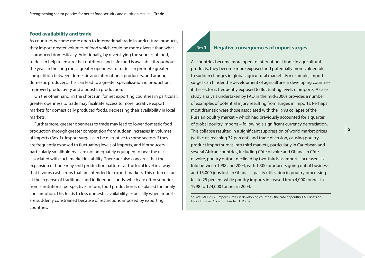#### **Food availability and trade**

As countries become more open to international trade in agricultural products, they import greater volumes of food which could be more diverse than what is produced domestically. Additionally, by diversifying the sources of food, trade can help to ensure that nutritious and safe food is available throughout the year. In the long run, a greater openness to trade can promote greater competition between domestic and international producers, and among domestic producers. This can lead to a greater specialization in production, improved productivity and a boost in production.

On the other hand, in the short run, for net exporting countries in particular, greater openness to trade may facilitate access to more lucrative export markets for domestically produced foods, decreasing their availability in local markets.

Furthermore, greater openness to trade may lead to lower domestic food production through greater competition from sudden increases in volumes of imports (Box 1). Import surges can be disruptive to some sectors if they are frequently exposed to fluctuating levels of imports, and if producers – particularly smallholders – are not adequately equipped to bear the risks associated with such market instability. There are also concerns that the expansion of trade may shift production patterns at the local level in a way that favours cash crops that are intended for export markets. This often occurs at the expense of traditional and indigenous foods, which are often superior from a nutritional perspective. In turn, food production is displaced for family consumption. This leads to less domestic availability, especially when imports are suddenly constrained because of restrictions imposed by exporting countries.

#### Box**1 Negative consequences of import surges**

As countries become more open to international trade in agricultural products, they become more exposed and potentially more vulnerable to sudden changes in global agricultural markets. For example, import surges can hinder the development of agriculture in developing countries if the sector is frequently exposed to fluctuating levels of imports. A case study analysis undertaken by FAO in the mid-2000s provides a number of examples of potential injury resulting from surges in imports. Perhaps most dramatic were those associated with the 1998 collapse of the Russian poultry market – which had previously accounted for a quarter of global poultry imports – following a significant currency depreciation. This collapse resulted in a significant suppression of world market prices (with cuts reaching 32 percent) and trade diversion, causing poultry product import surges into third markets, particularly in Caribbean and several African countries, including Côte d'Ivoire and Ghana. In Côte d'Ivoire, poultry output declined by two-thirds as imports increased sixfold between 1998 and 2004, with 1,500 producers going out of business and 15,000 jobs lost. In Ghana, capacity utilization in poultry processing fell to 25 percent while poultry imports increased from 4,000 tonnes in 1998 to 124,000 tonnes in 2004.

*Source*: FAO. 2006. Import surges in developing countries: the case of poultry. FAO Briefs on Import Surges: Commodities No. 1. Rome.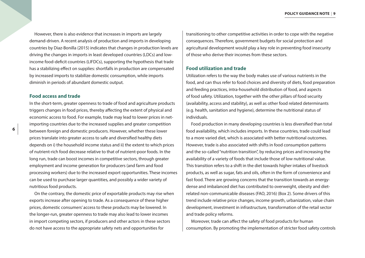However, there is also evidence that increases in imports are largely demand-driven. A recent analysis of production and imports in developing countries by Diaz-Bonilla (2015) indicates that changes in production levels are driving the changes in imports in least developed countries (LDCs) and lowincome food-deficit countries (LIFDCs), supporting the hypothesis that trade has a stabilizing effect on supplies: shortfalls in production are compensated by increased imports to stabilize domestic consumption, while imports diminish in periods of abundant domestic output.

#### **Food access and trade**

In the short-term, greater openness to trade of food and agriculture products triggers changes in food prices, thereby affecting the extent of physical and economic access to food. For example, trade may lead to lower prices in netimporting countries due to the increased supplies and greater competition between foreign and domestic producers. However, whether these lower prices translate into greater access to safe and diversified healthy diets depends on i) the household income status and ii) the extent to which prices of nutrient-rich food decrease relative to that of nutrient-poor foods. In the long run, trade can boost incomes in competitive sectors, through greater employment and income generation for producers (and farm and food processing workers) due to the increased export opportunities. These incomes can be used to purchase larger quantities, and possibly a wider variety of nutritious food products.

On the contrary, the domestic price of exportable products may rise when exports increase after opening to trade. As a consequence of these higher prices, domestic consumers' access to these products may be lowered. In the longer-run, greater openness to trade may also lead to lower incomes in import competing sectors, if producers and other actors in these sectors do not have access to the appropriate safety nets and opportunities for

transitioning to other competitive activities in order to cope with the negative consequences. Therefore, government budgets for social protection and agricultural development would play a key role in preventing food insecurity of those who derive their incomes from these sectors.

#### **Food utilization and trade**

Utilization refers to the way the body makes use of various nutrients in the food, and can thus refer to food choices and diversity of diets, food preparation and feeding practices, intra-household distribution of food, and aspects of food safety. Utilization, together with the other pillars of food security (availability, access and stability), as well as other food related determinants (e.g. health, sanitation and hygiene), determine the nutritional status of individuals.

Food production in many developing countries is less diversified than total food availability, which includes imports. In these countries, trade could lead to a more varied diet, which is associated with better nutritional outcomes. However, trade is also associated with shifts in food consumption patterns and the so-called "nutrition transition", by reducing prices and increasing the availability of a variety of foods that include those of low nutritional value. This transition refers to a shift in the diet towards higher intakes of livestock products, as well as sugar, fats and oils, often in the form of convenience and fast food. There are growing concerns that the transition towards an energydense and imbalanced diet has contributed to overweight, obesity and dietrelated non-communicable diseases (FAO, 2016) (Box 2). Some drivers of this trend include relative price changes, income growth, urbanization, value chain development, investment in infrastructure, transformation of the retail sector and trade policy reforms.

Moreover, trade can affect the safety of food products for human consumption. By promoting the implementation of stricter food safety controls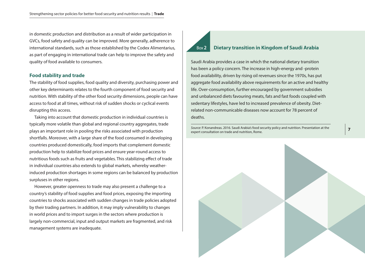in domestic production and distribution as a result of wider participation in GVCs, food safety and quality can be improved. More generally, adherence to international standards, such as those established by the Codex Alimentarius, as part of engaging in international trade can help to improve the safety and quality of food available to consumers.

#### **Food stability and trade**

The stability of food supplies, food quality and diversity, purchasing power and other key determinants relates to the fourth component of food security and nutrition. With stability of the other food security dimensions, people can have access to food at all times, without risk of sudden shocks or cyclical events disrupting this access.

Taking into account that domestic production in individual countries is typically more volatile than global and regional country aggregates, trade plays an important role in pooling the risks associated with production shortfalls. Moreover, with a large share of the food consumed in developing countries produced domestically, food imports that complement domestic production help to stabilize food prices and ensure year-round access to nutritious foods such as fruits and vegetables. This stabilizing effect of trade in individual countries also extends to global markets, whereby weatherinduced production shortages in some regions can be balanced by production surpluses in other regions.

However, greater openness to trade may also present a challenge to a country's stability of food supplies and food prices, exposing the importing countries to shocks associated with sudden changes in trade policies adopted by their trading partners. In addition, it may imply vulnerability to changes in world prices and to import surges in the sectors where production is largely non-commercial, input and output markets are fragmented, and risk management systems are inadequate.

# Box**2 Dietary transition in Kingdom of Saudi Arabia**

Saudi Arabia provides a case in which the national dietary transition has been a policy concern. The increase in high-energy and -protein food availability, driven by rising oil revenues since the 1970s, has put aggregate food availability above requirements for an active and healthy life. Over-consumption, further encouraged by government subsidies and unbalanced diets favouring meats, fats and fast foods coupled with sedentary lifestyles, have led to increased prevalence of obesity. Dietrelated non-communicable diseases now account for 78 percent of deaths.

*Source*: P. Konandreas. 2016. Saudi Arabia's food security policy and nutrition. Presentation at the Source: P. Konandreas. 2016. Saudi Arabia's food security policy and nutrition. Presentation at the **7**<br>expert consultation on trade and nutrition, Rome.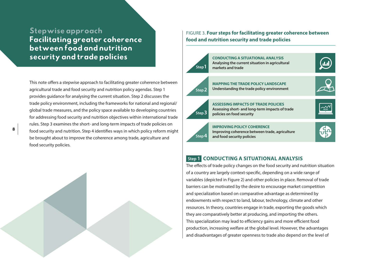# <span id="page-11-0"></span>Stepwise approach Facilitating greater coherence between food and nutrition security and trade policies

This note offers a stepwise approach to facilitating greater coherence between agricultural trade and food security and nutrition policy agendas. Step 1 provides guidance for analysing the current situation. Step 2 discusses the trade policy environment, including the frameworks for national and regional/ global trade measures, and the policy space available to developing countries for addressing food security and nutrition objectives within international trade rules. Step 3 examines the short- and long-term impacts of trade policies on food security and nutrition. Step 4 identifies ways in which policy reform might be brought about to improve the coherence among trade, agriculture and food security policies.



FIGURE 3. **Four steps for facilitating greater coherence between food and nutrition security and trade policies**



### **Step 1****CONDUCTING A SITUATIONAL ANALYSIS**

The effects of trade policy changes on the food security and nutrition situation of a country are largely context-specific, depending on a wide range of variables (depicted in Figure 2) and other policies in place. Removal of trade barriers can be motivated by the desire to encourage market competition and specialization based on comparative advantage as determined by endowments with respect to land, labour, technology, climate and other resources. In theory, countries engage in trade, exporting the goods which they are comparatively better at producing, and importing the others. This specialization may lead to efficiency gains and more efficient food production, increasing welfare at the global level. However, the advantages and disadvantages of greater openness to trade also depend on the level of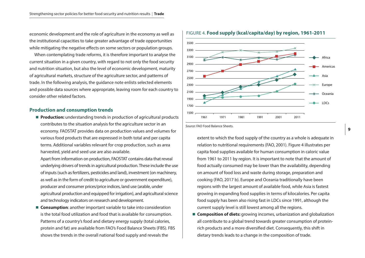economic development and the role of agriculture in the economy as well as the institutional capacities to take greater advantage of trade opportunities while mitigating the negative effects on some sectors or population groups.

When contemplating trade reforms, it is therefore important to analyse the current situation in a given country, with regard to not only the food security and nutrition situation, but also the level of economic development, maturity of agricultural markets, structure of the agriculture sector, and patterns of trade. In the following analysis, the guidance note enlists selected elements and possible data sources where appropriate, leaving room for each country to consider other related factors.

#### **Production and consumption trends**

**Production:** understanding trends in production of agricultural products contributes to the situation analysis for the agriculture sector in an economy. FAOSTAT provides data on production values and volumes for various food products that are expressed in both total and per capita terms. Additional variables relevant for crop production, such as area harvested, yield and seed use are also available.

Apart from information on production, FAOSTAT contains data that reveal underlying drivers of trends in agricultural production. These include the use of inputs (such as fertilizers, pesticides and land), investment (on machinery, as well as in the form of credit to agriculture or government expenditure), producer and consumer prices/price indices, land use (arable, under agricultural production and equipped for irrigation), and agricultural science and technology indicators on research and development.

■ **Consumption**: another important variable to take into consideration is the total food utilization and food that is available for consumption. Patterns of a country's food and dietary energy supply (total calories, protein and fat) are available from FAO's Food Balance Sheets (FBS). FBS shows the trends in the overall national food supply and reveals the



*Source*: FAO Food Balance Sheets.

#### FIGURE 4. **Food supply (kcal/capita/day) by region, 1961-2011**

**9**

extent to which the food supply of the country as a whole is adequate in relation to nutritional requirements (FAO, 2001). Figure 4 illustrates per capita food supplies available for human consumption in caloric value from 1961 to 2011 by region. It is important to note that the amount of food actually consumed may be lower than the availability, depending on amount of food loss and waste during storage, preparation and cooking (FAO, 2017 b). Europe and Oceania traditionally have been regions with the largest amount of available food, while Asia is fastest growing in expanding food supplies in terms of kilocalories. Per capita food supply has been also rising fast in LDCs since 1991, although the current supply level is still lowest among all the regions.

■ **Composition of diets:** growing incomes, urbanization and globalization all contribute to a global trend towards greater consumption of proteinrich products and a more diversified diet. Consequently, this shift in dietary trends leads to a change in the composition of trade.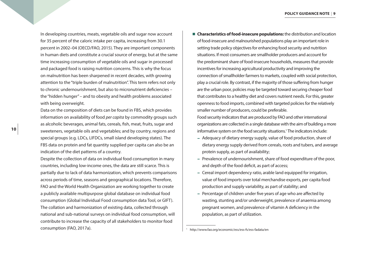In developing countries, meats, vegetable oils and sugar now account for 35 percent of the caloric intake per capita, increasing from 30.1 percent in 2002–04 (OECD/FAO, 2015). They are important components in human diets and constitute a crucial source of energy, but at the same time increasing consumption of vegetable oils and sugar in processed and packaged food is raising nutrition concerns. This is why the focus on malnutrition has been sharpened in recent decades, with growing attention to the "triple burden of malnutrition". This term refers not only to chronic undernourishment, but also to micronutrient deficiencies – the "hidden hunger" – and to obesity and health problems associated with being overweight.

Data on the composition of diets can be found in FBS, which provides information on availability of food *per capita* by commodity groups such as alcoholic beverages, animal fats, cereals, fish, meat, fruits, sugar and sweeteners, vegetable oils and vegetables; and by country, regions and special groups (e.g. LDCs, LIFDCs, small island developing states). The FBS data on protein and fat quantity supplied per capita can also be an indication of the diet patterns of a country.

Despite the collection of data on individual food consumption in many countries, including low-income ones, the data are still scarce. This is partially due to lack of data harmonization, which prevents comparisons across periods of time, seasons and geographical locations. Therefore, FAO and the World Health Organization are working together to create a publicly available multipurpose global database on individual food consumption (Global Individual Food consumption data Tool, or GIFT). The collation and harmonization of existing data, collected through national and sub-national surveys on individual food consumption, will contribute to increase the capacity of all stakeholders to monitor food consumption (FAO, 2017a).

**n** Characteristics of food-insecure populations: the distribution and location of food-insecure and malnourished populations play an important role in setting trade policy objectives for enhancing food security and nutrition situations. If most consumers are smallholder producers and account for the predominant share of food-insecure households, measures that provide incentives for increasing agricultural productivity and improving the connection of smallholder farmers to markets, coupled with social protection, play a crucial role. By contrast, if the majority of those suffering from hunger are the urban poor, policies may be targeted toward securing cheaper food that contributes to a healthy diet and covers nutrient needs. For this, greater openness to food imports, combined with targeted policies for the relatively smaller number of producers, could be preferable.

Food security indicators that are produced by FAO and other international organizations are collected in a single database with the aim of building a more informative system on the food security situations.<sup>1</sup> The indicators include:

- Adequacy of dietary energy supply, value of food production, share of dietary energy supply derived from cereals, roots and tubers, and average protein supply, as part of availability;
- Prevalence of undernourishment, share of food expenditure of the poor, and depth of the food deficit, as part of access;
- Cereal import dependency ratio, arable land equipped for irrigation, value of food imports over total merchandise exports, per capita food production and supply variability, as part of stability; and
- Percentage of children under five years of age who are affected by wasting, stunting and/or underweight, prevalence of anaemia among pregnant women, and prevalence of vitamin A deficiency in the population, as part of utilization.

<sup>1</sup> http://www.fao.org/economic/ess/ess-fs/ess-fadata/en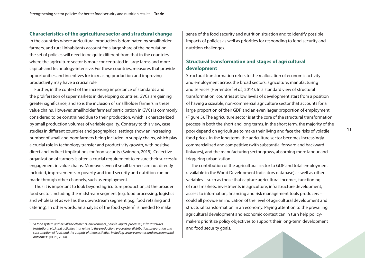#### **Characteristics of the agriculture sector and structural change**

In the countries where agricultural production is dominated by smallholder farmers, and rural inhabitants account for a large share of the population, the set of policies will need to be quite different from that in the countries where the agriculture sector is more concentrated in large farms and more capital- and technology-intensive. For these countries, measures that provide opportunities and incentives for increasing production and improving productivity may have a crucial role.

Further, in the context of the increasing importance of standards and the proliferation of supermarkets in developing countries, GVCs are gaining greater significance, and so is the inclusion of smallholder farmers in these value chains. However, smallholder farmers' participation in GVCs is commonly considered to be constrained due to their production, which is characterized by small production volumes of variable quality. Contrary to this view, case studies in different countries and geographical settings show an increasing number of small and poor farmers being included in supply chains, which play a crucial role in technology transfer and productivity growth, with positive direct and indirect implications for food security (Swinnen, 2015). Collective organization of farmers is often a crucial requirement to ensure their successful engagement in value chains. Moreover, even if small farmers are not directly included, improvements in poverty and food security and nutrition can be made through other channels, such as employment.

Thus it is important to look beyond agriculture production, at the broader food sector, including the midstream segment (e.g. food processing, logistics and wholesale) as well as the downstream segment (e.g. food retailing and catering). In other words, an analysis of the food system<sup>2</sup> is needed to make

sense of the food security and nutrition situation and to identify possible impacts of policies as well as priorities for responding to food security and nutrition challenges.

## **Structural transformation and stages of agricultural development**

Structural transformation refers to the reallocation of economic activity and employment across the broad sectors: agriculture, manufacturing and services (Herrendorf *et al.*, 2014). In a standard view of structural transformation, countries at low levels of development start from a position of having a sizeable, non-commercial agriculture sector that accounts for a large proportion of their GDP and an even larger proportion of employment (Figure 5). The agriculture sector is at the core of the structural transformation process in both the short and long terms. In the short term, the majority of the poor depend on agriculture to make their living and face the risks of volatile food prices. In the long term, the agriculture sector becomes increasingly commercialized and competitive (with substantial forward and backward linkages), and the manufacturing sector grows, absorbing more labour and triggering urbanization.

The contribution of the agricultural sector to GDP and total employment (available in the World Development Indicators database) as well as other variables – such as those that capture agricultural incomes, functioning of rural markets, investments in agriculture, infrastructure development, access to information, financing and risk management tools producers – could all provide an indication of the level of agricultural development and structural transformation in an economy. Paying attention to the prevailing agricultural development and economic context can in turn help policymakers prioritize policy objectives to support their long-term development and food security goals.

<sup>2</sup> *"A food system gathers all the elements (environment, people, inputs, processes, infrastructures, institutions, etc.) and activities that relate to the production, processing, distribution, preparation and consumption of food, and the outputs of these activities, including socio-economic and environmental outcomes."* (HLPE, 2014).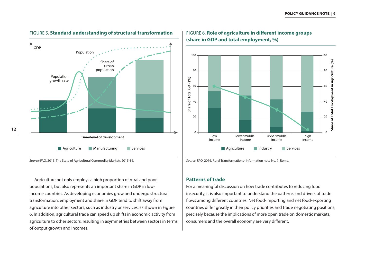



## FIGURE 6. **Role of agriculture in different income groups (share in GDP and total employment, %)**



Agriculture not only employs a high proportion of rural and poor populations, but also represents an important share in GDP in lowincome countries. As developing economies grow and undergo structural transformation, employment and share in GDP tend to shift away from agriculture into other sectors, such as industry or services, as shown in Figure 6. In addition, agricultural trade can speed up shifts in economic activity from agriculture to other sectors, resulting in asymmetries between sectors in terms of output growth and incomes.

*Source:* FAO. 2016. Rural Transformations- Information note No. 7. Rome.

#### **Patterns of trade**

For a meaningful discussion on how trade contributes to reducing food insecurity, it is also important to understand the patterns and drivers of trade flows among different countries. Net food-importing and net food-exporting countries differ greatly in their policy priorities and trade negotiating positions, precisely because the implications of more open trade on domestic markets, consumers and the overall economy are very different.

*Source:* FAO, 2015. The State of Agricultural Commodity Markets 2015-16.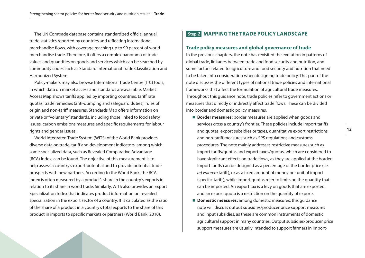<span id="page-16-0"></span>The UN Comtrade database contains standardized official annual trade statistics reported by countries and reflecting international merchandise flows, with coverage reaching up to 99 percent of world merchandise trade. Therefore, it offers a complex panorama of trade values and quantities on goods and services which can be searched by commodity codes such as Standard International Trade Classification and Harmonized System.

Policy-makers may also browse International Trade Centre (ITC) tools, in which data on market access and standards are available. Market Access Map shows tariffs applied by importing countries, tariff rate quotas, trade remedies (anti-dumping and safeguard duties), rules of origin and non-tariff measures. Standards Map offers information on private or "voluntary" standards, including those linked to food safety issues, carbon emissions measures and specific requirements for labour rights and gender issues.

World Integrated Trade System (WITS) of the World Bank provides diverse data on trade, tariff and development indicators, among which some specialized data, such as Revealed Comparative Advantage (RCA) Index, can be found. The objective of this measurement is to help assess a country's export potential and to provide potential trade prospects with new partners. According to the World Bank, the RCA index is often measured by a product's share in the country's exports in relation to its share in world trade. Similarly, WITS also provides an Export Specialization Index that indicates product information on revealed specialization in the export sector of a country. It is calculated as the ratio of the share of a product in a country's total exports to the share of this product in imports to specific markets or partners (World Bank, 2010).

## **Step 2****MAPPING THE TRADE POLICY LANDSCAPE**

#### **Trade policy measures and global governance of trade**

In the previous chapters, the note has revisited the evolution in patterns of global trade, linkages between trade and food security and nutrition, and some factors related to agriculture and food security and nutrition that need to be taken into consideration when designing trade policy. This part of the note discusses the different types of national trade policies and international frameworks that affect the formulation of agricultural trade measures. Throughout this guidance note, trade policies refer to government actions or measures that directly or indirectly affect trade flows. These can be divided into border and domestic policy measures.

- **E** Border measures: border measures are applied when goods and services cross a country's frontier. These policies include import tariffs and quotas, export subsidies or taxes, quantitative export restrictions, and non-tariff measures such as SPS regulations and customs procedures. The note mainly addresses restrictive measures such as import tariffs/quotas and export taxes/quotas, which are considered to have significant effects on trade flows, as they are applied at the border. Import tariffs can be designed as a percentage of the border price (i.e. *ad valorem* tariff), or as a fixed amount of money per unit of import (specific tariff), while import quotas refer to limits on the quantity that can be imported. An export tax is a levy on goods that are exported, and an export quota is a restriction on the quantity of exports.
- **Domestic measures:** among domestic measures, this quidance note will discuss output subsidies/producer price support measures and input subsidies, as these are common instruments of domestic agricultural support in many countries. Output subsidies/producer price support measures are usually intended to support farmers in import-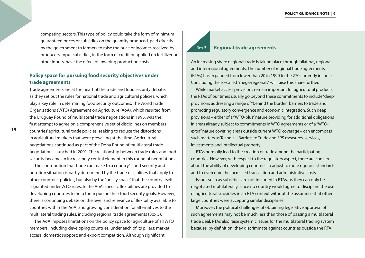competing sectors. This type of policy could take the form of minimum guaranteed prices or subsidies on the quantity produced, paid directly by the government to farmers to raise the price or incomes received by producers. Input subsidies, in the form of credit or applied on fertilizer or other inputs, have the effect of lowering production costs.

## **Policy space for pursuing food security objectives under trade agreements**

Trade agreements are at the heart of the trade and food security debate, as they set out the rules for national trade and agricultural policies, which play a key role in determining food security outcomes. The World Trade Organizations (WTO) Agreement on Agriculture (AoA), which resulted from the Uruguay Round of multilateral trade negotiations in 1995, was the first attempt to agree on a comprehensive set of disciplines on members countries' agricultural trade policies, seeking to reduce the distortions in agricultural markets that were prevailing at the time. Agricultural negotiations continued as part of the Doha Round of multilateral trade negotiations launched in 2001. The relationship between trade rules and food security became an increasingly central element in this round of negotiations.

The contribution that trade can make to a country's food security and nutrition situation is partly determined by the trade disciplines that apply to other countries' policies, but also by the "policy space" that the country itself is granted under WTO rules. In the AoA, specific flexibilities are provided to developing countries to help them pursue their food security goals. However, there is continuing debate on the level and relevance of flexibility available to countries within the AoA, and growing consideration for alternatives to the multilateral trading rules, including regional trade agreements (Box 3).

The AoA imposes limitations on the policy space for agriculture of all WTO members, including developing countries, under each of its pillars: market access, domestic support; and export competition. Although significant

# Box**3 Regional trade agreements**

An increasing share of global trade is taking place through bilateral, regional and interregional agreements. The number of regional trade agreements (RTAs) has expanded from fewer than 20 in 1990 to the 270 currently in force. Concluding the so-called "mega-regionals" will raise this share further.

While market access provisions remain important for agricultural products, the RTAs of our times usually go beyond these commitments to include "deep" provisions addressing a range of "behind the border" barriers to trade and promoting regulatory convergence and economic integration. Such deep provisions – either of a "WTO-plus" nature providing for additional obligations in areas already subject to commitments in WTO agreements or of a "WTOextra" nature covering areas outside current WTO coverage – can encompass such matters as Technical Barriers to Trade and SPS measures, services, investments and intellectual property.

RTAs normally lead to the creation of trade among the participating countries. However, with respect to the regulatory aspect, there are concerns about the ability of developing countries to adjust to more rigorous standards and to overcome the increased transaction and administrative costs.

Issues such as subsidies are not included in RTAs, as they can only be negotiated multilaterally, since no country would agree to discipline the use of agricultural subsidies in an RTA context without the assurance that other large countries were accepting similar disciplines.

Moreover, the political challenges of obtaining legislative approval of such agreements may not be much less than those of passing a multilateral trade deal. RTAs also raise systemic issues for the multilateral trading system because, by definition, they discriminate against countries outside the RTA.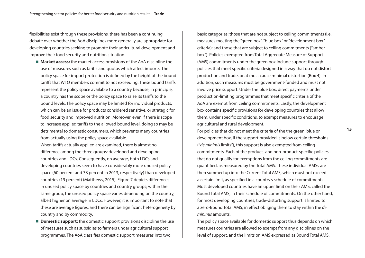flexibilities exist through these provisions, there has been a continuing debate over whether the AoA disciplines more generally are appropriate for developing countries seeking to promote their agricultural development and improve their food security and nutrition situation.

■ **Market access:** the market access provisions of the AoA discipline the use of measures such as tariffs and quotas which affect imports. The policy space for import protection is defined by the height of the bound tariffs that WTO members commit to not exceeding. These bound tariffs represent the policy space available to a country because, in principle, a country has the scope or the policy space to raise its tariffs to the bound levels. The policy space may be limited for individual products, which can be an issue for products considered sensitive, or strategic for food security and improved nutrition. Moreover, even if there is scope to increase applied tariffs to the allowed bound level, doing so may be detrimental to domestic consumers, which prevents many countries from actually using the policy space available.

When tariffs actually applied are examined, there is almost no difference among the three groups: developed and developing countries and LDCs. Consequently, on average, both LDCs and developing countries seem to have considerably more unused policy space (60 percent and 38 percent in 2013, respectively) than developed countries (19 percent) (Matthews, 2015). Figure 7 depicts differences in unused policy space by countries and country groups; within the same group, the unused policy space varies depending on the country, albeit higher on average in LDCs. However, it is important to note that these are average figures, and there can be significant heterogeneity by country and by commodity.

**n Domestic support:** the domestic support provisions discipline the use of measures such as subsidies to farmers under agricultural support programmes. The AoA classifies domestic support measures into two

basic categories: those that are not subject to ceiling commitments (i.e. measures meeting the "green box", "blue box" or "development box" criteria); and those that are subject to ceiling commitments ("amber box"). Policies exempted from Total Aggregate Measure of Support (AMS) commitments under the green box include support through policies that meet specific criteria designed in a way that do not distort production and trade, or at most cause minimal distortion (Box 4). In addition, such measures must be government-funded and must not involve price support. Under the blue box, direct payments under production-limiting programmes that meet specific criteria of the AoA are exempt from ceiling commitments. Lastly, the development box contains specific provisions for developing countries that allow them, under specific conditions, to exempt measures to encourage agricultural and rural development.

For policies that do not meet the criteria of the the green, blue or development box, if the support provided is below certain thresholds ("*de minimis* limits"), this support is also exempted from ceiling commitments. Each of the product- and non-product-specific policies that do not qualify for exemptions from the ceiling commitments are quantified, as measured by the Total AMS. These individual AMSs are then summed up into the Current Total AMS, which must not exceed a certain limit, as specified in a country's schedule of commitments. Most developed countries have an upper limit on their AMS, called the Bound Total AMS, in their schedule of commitments. On the other hand, for most developing countries, trade-distorting support is limited to a zero-Bound Total AMS, in effect obliging them to stay within the *de minimis* amounts.

The policy space available for domestic support thus depends on which measures countries are allowed to exempt from any disciplines on the level of support, and the limits on AMS expressed as Bound Total AMS.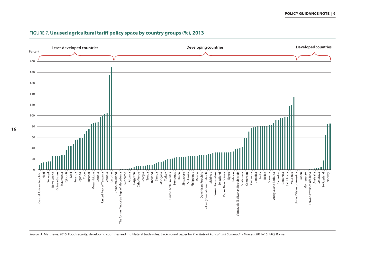

## FIGURE 7. **Unused agricultural tariff policy space by country groups (%), 2013**

*Source*: A. Matthews. 2015. Food security, developing countries and multilateral trade rules. Background paper for *The State of Agricultural Commodity Markets 2015–16*. FAO, Rome.

**16**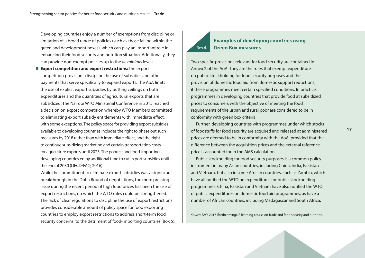Developing countries enjoy a number of exemptions from discipline or limitation of a broad range of policies (such as those falling within the green and development boxes), which can play an important role in enhancing their food security and nutrition situation. Additionally, they can provide non-exempt policies up to the *de minimis* levels.

■ **Export competition and export restrictions:** the export competition provisions discipline the use of subsidies and other payments that serve specifically to expand exports. The AoA limits the use of explicit export subsidies by putting ceilings on both expenditures and the quantities of agricultural exports that are subsidized. The Nairobi WTO Ministerial Conference in 2015 reached a decision on export competition whereby WTO Members committed to eliminating export subsidy entitlements with immediate effect, with some exceptions. The policy space for providing export subsidies available to developing countries includes the right to phase out such measures by 2018 rather than with immediate effect, and the right to continue subsidizing marketing and certain transportation costs for agriculture exports until 2023. The poorest and food-importing developing countries enjoy additional time to cut export subsidies until the end of 2030 (OECD/FAO, 2016).

While the commitment to eliminate export subsidies was a significant breakthrough in the Doha Round of negotiations, the more pressing issue during the recent period of high food prices has been the use of export restrictions, on which the WTO rules could be strengthened. The lack of clear regulations to discipline the use of export restrictions provides considerable amount of policy space for food exporting countries to employ export restrictions to address short-term food security concerns, to the detriment of food-importing countries (Box 5).

#### Box**4 Examples of developing countries using Green Box measures**

Two specific provisions relevant for food security are contained in Annex 2 of the AoA. They are the rules that exempt expenditure on public stockholding for food security purposes and the provision of domestic food aid from domestic support reductions, if these programmes meet certain specified conditions. In practice, programmes in developing countries that provide food at subsidized prices to consumers with the objective of meeting the food requirements of the urban and rural poor are considered to be in conformity with green box criteria.

Further, developing countries with programmes under which stocks of foodstuffs for food security are acquired and released at administered prices are deemed to be in conformity with the AoA, provided that the difference between the acquisition prices and the external reference price is accounted for in the AMS calculation.

Public stockholding for food security purposes is a common policy instrument in many Asian countries, including China, India, Pakistan and Vietnam, but also in some African countries, such as Zambia, which have all notified the WTO on expenditures for public stockholding programmes. China, Pakistan and Vietnam have also notified the WTO of public expenditures on domestic food aid programmes, as have a number of African countries, including Madagascar and South Africa.

*Source*: FAO. 2017 (forthcoming). E-learning course on Trade and food security and nutrition.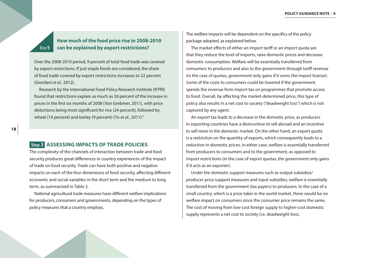# **How much of the food price rise in 2008-2010 can be explained by export restrictions?**

Over the 2008-2010 period, 9 percent of total food trade was covered by export restrictions. If just staple foods are considered, the share of food trade covered by export restrictions increases to 22 percent (Giordani *et al.*, 2012).

Research by the International Food Policy Research Institute (IFPRI) found that restrictions explain as much as 30 percent of the increase in prices in the first six months of 2008 (Von Grebmer, 2011), with price distortions being most significant for rice (24 percent), followed by wheat (14 percent) and barley (9 percent) (Yu *et al.*, 2011)."

## **Step 3****ASSESSING IMPACTS OF TRADE POLICIES**

The complexity of the channels of interaction between trade and food security produces great differences in country experiences of the impact of trade on food security. Trade can have both positive and negative impacts on each of the four dimensions of food security, affecting different economic and social variables in the short term and the medium to long term, as summarized in Table 2.

National agricultural trade measures have different welfare implications for producers, consumers and governments, depending on the types of policy measures that a country employs.

The welfare impacts will be dependent on the specifics of the policy package adopted, as explained below.

The market effects of either an import tariff or an import quota are that they reduce the level of imports, raise domestic prices and decrease domestic consumption. Welfare will be essentially transferred from consumers to producers and also to the government through tariff revenue (in the case of quotas, government only gains if it owns the import license). Some of the costs to consumers could be lowered if the government spends the revenue from import tax on programmes that promote access to food. Overall, by affecting the market-determined price, this type of policy also results in a net cost to society ("deadweight loss") which is not captured by any agent.

An export tax leads to a decrease in the domestic price, as producers in exporting countries have a disincentive to sell abroad and an incentive to sell more in the domestic market. On the other hand, an export quota is a restriction on the quantity of exports, which consequently leads to a reduction in domestic prices. In either case, welfare is essentially transferred from producers to consumers and to the government, as opposed to import restrictions (in the case of export quotas, the government only gains if it acts as an exporter).

Under the domestic support measures such as output subsidies/ producer price support measures and input subsidies, welfare is essentially transferred from the government (tax payers) to producers. In the case of a small country, which is a price taker in the world market, there would be no welfare impact on consumers since the consumer price remains the same. The cost of moving from low-cost foreign supply to higher-cost domestic supply represents a net cost to society (i.e. deadweight loss).

<span id="page-21-0"></span>Box**5**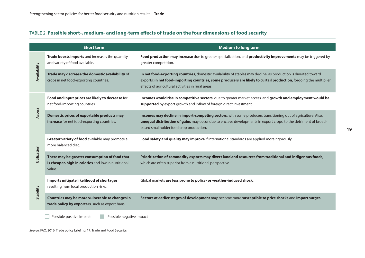# TABLE 2. **Possible short-, medium- and long-term effects of trade on the four dimensions of food security**

|              | <b>Short term</b>                                                                                              | <b>Medium to long term</b>                                                                                                                                                                                                                                                                  |
|--------------|----------------------------------------------------------------------------------------------------------------|---------------------------------------------------------------------------------------------------------------------------------------------------------------------------------------------------------------------------------------------------------------------------------------------|
| Availability | Trade boosts imports and increases the quantity<br>and variety of food available.                              | Food production may increase due to greater specialization, and productivity improvements may be triggered by<br>greater competition.                                                                                                                                                       |
|              | Trade may decrease the domestic availability of<br>crops in net food-exporting countries.                      | In net food-exporting countries, domestic availability of staples may decline, as production is diverted toward<br>exports; in net food-importing countries, some producers are likely to curtail production, forgoing the multiplier<br>effects of agricultural activities in rural areas. |
| Access       | Food and input prices are likely to decrease for<br>net food-importing countries.                              | Incomes would rise in competitive sectors, due to greater market access, and growth and employment would be<br>supported by export growth and inflow of foreign direct investment.                                                                                                          |
|              | Domestic prices of exportable products may<br>increase for net food-exporting countries.                       | Incomes may decline in import-competing sectors, with some producers transitioning out of agriculture. Also,<br>unequal distribution of gains may occur due to enclave developments in export crops, to the detriment of broad-<br>based smallholder food crop production.                  |
| Utilization  | Greater variety of food available may promote a<br>more balanced diet.                                         | Food safety and quality may improve if international standards are applied more rigorously.                                                                                                                                                                                                 |
|              | There may be greater consumption of food that<br>is cheaper, high in calories and low in nutritional<br>value. | Prioritization of commodity exports may divert land and resources from traditional and indigenous foods,<br>which are often superior from a nutritional perspective.                                                                                                                        |
| Stability    | Imports mitigate likelihood of shortages<br>resulting from local production risks.                             | Global markets are less prone to policy- or weather-induced shock.                                                                                                                                                                                                                          |
|              | Countries may be more vulnerable to changes in<br>trade policy by exporters, such as export bans.              | Sectors at earlier stages of development may become more susceptible to price shocks and import surges.                                                                                                                                                                                     |
|              | Possible positive impact<br>Possible negative impact                                                           |                                                                                                                                                                                                                                                                                             |

*Source*: FAO. 2016. Trade policy brief no. 17. Trade and Food Security.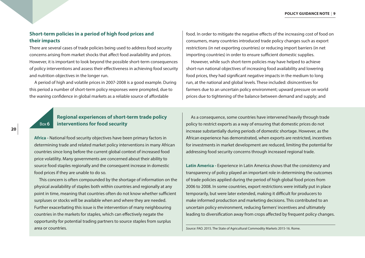## **Short-term policies in a period of high food prices and their impacts**

There are several cases of trade policies being used to address food security concerns arising from market shocks that affect food availability and prices. However, it is important to look beyond the possible short-term consequences of policy interventions and assess their effectiveness in achieving food security and nutrition objectives in the longer run.

A period of high and volatile prices in 2007-2008 is a good example. During this period a number of short-term policy responses were prompted, due to the waning confidence in global markets as a reliable source of affordable

food. In order to mitigate the negative effects of the increasing cost of food on consumers, many countries introduced trade policy changes such as export restrictions (in net exporting countries) or reducing import barriers (in net importing countries) in order to ensure sufficient domestic supplies.

However, while such short-term policies may have helped to achieve short-run national objectives of increasing food availability and lowering food prices, they had significant negative impacts in the medium to long run, at the national and global levels. These included: disincentives for farmers due to an uncertain policy environment; upward pressure on world prices due to tightening of the balance between demand and supply; and

#### Box**6 Regional experiences of short-term trade policy interventions for food security**

**Africa -** National food security objectives have been primary factors in determining trade and related market policy interventions in many African countries since long before the current global context of increased food price volatility. Many governments are concerned about their ability to source food staples regionally and the consequent increase in domestic food prices if they are unable to do so.

This concern is often compounded by the shortage of information on the physical availability of staples both within countries and regionally at any point in time, meaning that countries often do not know whether sufficient surpluses or stocks will be available when and where they are needed. Further exacerbating this issue is the intervention of many neighbouring countries in the markets for staples, which can effectively negate the opportunity for potential trading partners to source staples from surplus area or countries.

As a consequence, some countries have intervened heavily through trade policy to restrict exports as a way of ensuring that domestic prices do not increase substantially during periods of domestic shortage. However, as the African experience has demonstrated, when exports are restricted, incentives for investments in market development are reduced, limiting the potential for addressing food security concerns through increased regional trade.

**Latin America - Experience in Latin America shows that the consistency and** transparency of policy played an important role in determining the outcomes of trade policies applied during the period of high global food prices from 2006 to 2008. In some countries, export restrictions were initially put in place temporarily, but were later extended, making it difficult for producers to make informed production and marketing decisions. This contributed to an uncertain policy environment, reducing farmers' incentives and ultimately leading to diversification away from crops affected by frequent policy changes.

*Source*: FAO. 2015. The State of Agricultural Commodity Markets 2015-16. Rome.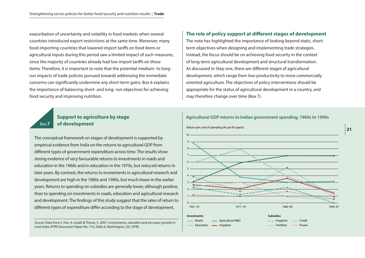exacerbation of uncertainty and volatility in food markets when several countries introduced export restrictions at the same time. Moreover, many food-importing countries that lowered import tariffs on food items or agricultural inputs during this period saw a limited impact of such measures, since the majority of countries already had low import tariffs on these items. Therefore, it is important to note that the potential medium- to longrun impacts of trade policies pursued towards addressing the immediate concerns can significantly undermine any short-term gains. Box 6 explains the importance of balancing short- and long- run objectives for achieving food security and improving nutrition.

## **Support to agriculture by stage of development**

Box**7**

The conceptual framework on stages of development is supported by empirical evidence from India on the returns to agricultural GDP from different types of government expenditure across time. The results show strong evidence of very favourable returns to investments in roads and education in the 1960s and in education in the 1970s, but reduced returns in later years. By contrast, the returns to investments in agricultural research and development are high in the 1980s and 1990s, but much lower in the earlier years. Returns to spending on subsidies are generally lower, although positive, than to spending on investments in roads, education and agricultural research and development. The findings of this study suggest that the rates of return to different types of expenditure differ according to the stage of development.

*Source*: Data from S. Fan, A. Gulati & Thorat, S. 2007. Investments, subsidies and pro-poor growth in rural India. IFPRI Discussion Paper No. 716, Table 6. Washington, DC, IFPRI.

#### **The role of policy support at different stages of development**

The note has highlighted the importance of looking beyond static, shortterm objectives when designing and implementing trade strategies. Instead, the focus should be on achieving food security in the context of long-term agricultural development and structural transformation. As discussed in Step one*,* there are different stages of agricultural development, which range from low-productivity to more commercially oriented agriculture. The objectives of policy interventions should be appropriate for the status of agricultural development in a country, and may therefore change over time (Box 7).

#### **Agricultural GDP returns to Indian government spending, 1960s to 1990s**

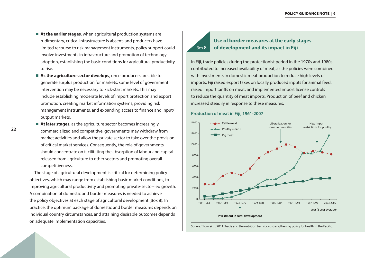- At the earlier stages, when agricultural production systems are rudimentary, critical infrastructure is absent, and producers have limited recourse to risk management instruments, policy support could involve investments in infrastructure and promotion of technology adoption, establishing the basic conditions for agricultural productivity to rise.
- **As the agriculture sector develops**, once producers are able to generate surplus production for markets, some level of government intervention may be necessary to kick-start markets. This may include establishing moderate levels of import protection and export promotion, creating market information systems, providing risk management instruments, and expanding access to finance and input/ output markets.
- At later stages, as the agriculture sector becomes increasingly commercialized and competitive, governments may withdraw from market activities and allow the private sector to take over the provision of critical market services. Consequently, the role of governments should concentrate on facilitating the absorption of labour and capital released from agriculture to other sectors and promoting overall competitiveness.

The stage of agricultural development is critical for determining policy objectives, which may range from establishing basic market conditions, to improving agricultural productivity and promoting private-sector-led growth. A combination of domestic and border measures is needed to achieve the policy objectives at each stage of agricultural development (Box 8). In practice, the optimum package of domestic and border measures depends on individual country circumstances, and attaining desirable outcomes depends on adequate implementation capacities.

# Box**8**

# **Use of border measures at the early stages of development and its impact in Fiji**

In Fiji, trade policies during the protectionist period in the 1970s and 1980s contributed to increased availability of meat, as the policies were combined with investments in domestic meat production to reduce high levels of imports. Fiji raised export taxes on locally produced inputs for animal feed, raised import tariffs on meat, and implemented import license controls to reduce the quantity of meat imports. Production of beef and chicken increased steadily in response to these measures.

#### **Production of meat in Fiji, 1961-2007**



*Source*: Thow *et al.* 2011. Trade and the nutrition transition: strengthening policy for health in the Pacific.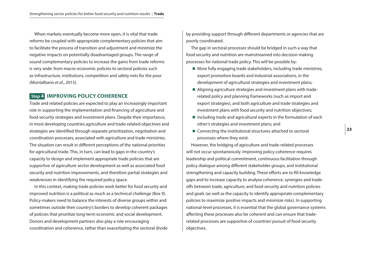<span id="page-26-0"></span>When markets eventually become more open, it is vital that trade reforms be coupled with appropriate complementary policies that aim to facilitate the process of transition and adjustment and minimize the negative impacts on potentially disadvantaged groups. The range of sound complementary policies to increase the gains from trade reforms is very wide: from macro-economic policies to sectoral policies such as infrastructure, institutions, competition and safety nets for the poor (Montalbano *et al*., 2015).

### **Step 4****IMPROVING POLICY COHERENCE**

Trade and related policies are expected to play an increasingly important role in supporting the implementation and financing of agriculture and food security strategies and investment plans. Despite their importance, in most developing countries agriculture and trade-related objectives and strategies are identified through separate prioritization, negotiation and coordination processes, associated with agriculture and trade ministries. The situation can result in different perceptions of the national priorities for agricultural trade. This, in turn, can lead to gaps in the country's capacity to design and implement appropriate trade policies that are supportive of agriculture sector development as well as associated food security and nutrition improvements, and therefore partial strategies and weaknesses in identifying the required policy space.

In this context, making trade policies work better for food security and improved nutrition is a political as much as a technical challenge (Box 9). Policy-makers need to balance the interests of diverse groups within and sometimes outside their country's borders to develop coherent packages of policies that prioritize long-term economic and social development. Donors and development partners also play a role encouraging coordination and coherence, rather than exacerbating the sectoral divide

by providing support through different departments or agencies that are poorly coordinated.

The gap in sectoral processes should be bridged in such a way that food security and nutrition are mainstreamed into decision-making processes for national trade policy. This will be possible by:

- $\blacksquare$  More fully engaging trade stakeholders, including trade ministries, export promotion boards and industrial associations, in the development of agricultural strategies and investment plans;
- $\blacksquare$  Aligning agriculture strategies and investment plans with traderelated policy and planning frameworks (such as import and export strategies), and both agriculture and trade strategies and investment plans with food security and nutrition objectives;
- $\blacksquare$  Including trade and agricultural experts in the formulation of each other's strategies and investment plans; and
- $\blacksquare$  Connecting the institutional structures attached to sectoral processes where they exist.

However, the bridging of agriculture and trade-related processes will not occur spontaneously. Improving policy coherence requires leadership and political commitment, continuous facilitation through policy dialogue among different stakeholder groups, and institutional strengthening and capacity building. These efforts are to fill knowledge gaps and to increase capacity to analyse coherence, synergies and tradeoffs between trade, agriculture, and food security and nutrition policies and goals (as well as the capacity to identify appropriate complementary policies to maximize positive impacts and minimize risks). In supporting national-level processes, it is essential that the global governance systems affecting these processes also be coherent and can ensure that traderelated processes are supportive of countries' pursuit of food security objectives.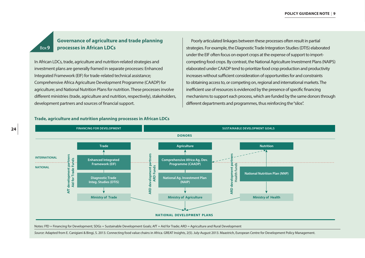# **Governance of agriculture and trade planning processes in African LDCs**

In African LDCs, trade, agriculture and nutrition-related strategies and investment plans are generally framed in separate processes: Enhanced Integrated Framework (EIF) for trade-related technical assistance; Comprehensive Africa Agriculture Development Programme (CAADP) for agriculture; and National Nutrition Plans for nutrition. These processes involve different ministries (trade, agriculture and nutrition, respectively), stakeholders, development partners and sources of financial support.

Poorly articulated linkages between these processes often result in partial strategies. For example, the Diagnostic Trade Integration Studies (DTIS) elaborated under the EIF often focus on export crops at the expense of support to importcompeting food crops. By contrast, the National Agriculture Investment Plans (NAIPS) elaborated under CAADP tend to prioritize food crop production and productivity increases without sufficient consideration of opportunities for and constraints to obtaining access to, or competing on, regional and international markets. The inefficient use of resources is evidenced by the presence of specific financing mechanisms to support each process, which are funded by the same donors through different departments and programmes, thus reinforcing the "silos".



#### **Trade, agriculture and nutrition planning processes in African LDCs**

Notes: FfD = Financing for Development; SDGs = Sustainable Development Goals; AfT = Aid for Trade; ARD = Agriculture and Rural Development

Source: Adapted from E. Canigiani & Bingi, S. 2013. Connecting food value chains in Africa. GREAT Insights, 2(5). July-August 2013. Maastrich, European Centre for Development Policy Management.

Box**9**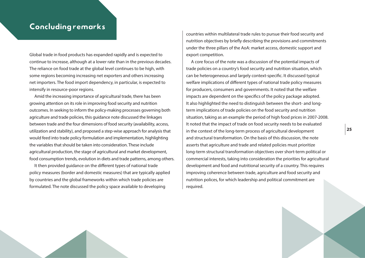# <span id="page-28-0"></span>Concluding remarks

Global trade in food products has expanded rapidly and is expected to continue to increase, although at a lower rate than in the previous decades. The reliance on food trade at the global level continues to be high, with some regions becoming increasing net exporters and others increasing net importers. The food import dependency, in particular, is expected to intensify in resource-poor regions.

Amid the increasing importance of agricultural trade, there has been growing attention on its role in improving food security and nutrition outcomes. In seeking to inform the policy-making processes governing both agriculture and trade policies, this guidance note discussed the linkages between trade and the four dimensions of food security (availability, access, utilization and stability), and proposed a step-wise approach for analysis that would feed into trade policy formulation and implementation, highlighting the variables that should be taken into consideration. These include agricultural production, the stage of agricultural and market development, food consumption trends, evolution in diets and trade patterns, among others.

It then provided guidance on the different types of national trade policy measures (border and domestic measures) that are typically applied by countries and the global frameworks within which trade policies are formulated. The note discussed the policy space available to developing

countries within multilateral trade rules to pursue their food security and nutrition objectives by briefly describing the provisions and commitments under the three pillars of the AoA: market access, domestic support and export competition.

A core focus of the note was a discussion of the potential impacts of trade policies on a country's food security and nutrition situation, which can be heterogeneous and largely context-specific. It discussed typical welfare implications of different types of national trade policy measures for producers, consumers and governments. It noted that the welfare impacts are dependent on the specifics of the policy package adopted. It also highlighted the need to distinguish between the short- and longterm implications of trade policies on the food security and nutrition situation, taking as an example the period of high food prices in 2007-2008. It noted that the impact of trade on food security needs to be evaluated in the context of the long-term process of agricultural development and structural transformation. On the basis of this discussion, the note asserts that agriculture and trade and related policies must prioritize long-term structural transformation objectives over short-term political or commercial interests, taking into consideration the priorities for agricultural development and food and nutritional security of a country. This requires improving coherence between trade, agriculture and food security and nutrition polices, for which leadership and political commitment are required.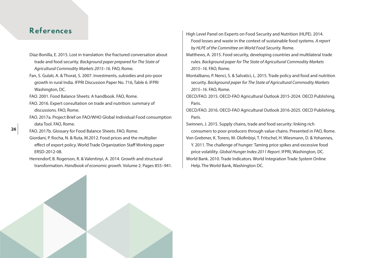# <span id="page-29-0"></span>References

- Díaz-Bonilla, E. 2015. Lost in translation: the fractured conversation about trade and food security. *Background paper prepared for The State of Agricultural Commodity Markets 2015–16.* FAO, Rome.
- Fan, S. Gulati, A. & Thorat, S. 2007. Investments, subsidies and pro-poor growth in rural India. IFPRI Discussion Paper No. 716, Table 6. IFPRI Washington, DC.
- FAO. 2001. Food Balance Sheets: A handbook. FAO, Rome.
- FAO. 2016. Expert consultation on trade and nutrition: summary of discussions. FAO, Rome.
- FAO. 2017a. Project Brief on FAO/WHO Global Individual Food consumption data Tool. FAO, Rome.
- FAO. 2017b. Glossary for Food Balance Sheets. FAO, Rome. Giordani, P. Rocha, N. & Ruta, M.2012. Food prices and the multiplier
- effect of export policy. World Trade Organization Staff Working paper ERSD-2012-08.
- Herrendorf, B. Rogerson, R. & Valentinyi, A. 2014. Growth and structural transformation. *Handbook of economic growth.* Volume 2. Pages 855–941.
- High Level Panel on Experts on Food Security and Nutrition (HLPE). 2014. Food losses and waste in the context of sustainable food systems. *A report by HLPE of the Committee on World Food Security.* Rome.
- Matthews, A. 2015. Food security, developing countries and multilateral trade rules. *Background paper for The State of Agricultural Commodity Markets 2015–16*. FAO, Rome.
- Montalbano, P. Nenci, S. & Salvatici, L. 2015. Trade policy and food and nutrition security. *Background paper for The State of Agricultural Commodity Markets 2015–16*. FAO, Rome.
- OECD/FAO. 2015. OECD-FAO Agricultural Outlook 2015-2024. OECD Publishing, Paris.
- OECD/FAO. 2016. OECD-FAO Agricultural Outlook 2016-2025. OECD Publishing, Paris.
- Swinnen, J. 2015. Supply chains, trade and food security: linking rich consumers to poor producers through value chains. Presented in FAO, Rome. Von Grebmer, K. Torero, M. Olofinbiyi, T. Fritschel, H. Wiesmann, D. & Yohannes, Y. 2011. The challenge of hunger: Taming price spikes and excessive food price volatility. *Global Hunger Index 2011 Report*. IFPRI, Washington, DC. World Bank. 2010. Trade Indicators. World Integration Trade System Online Help. The World Bank, Washington DC.

**26**